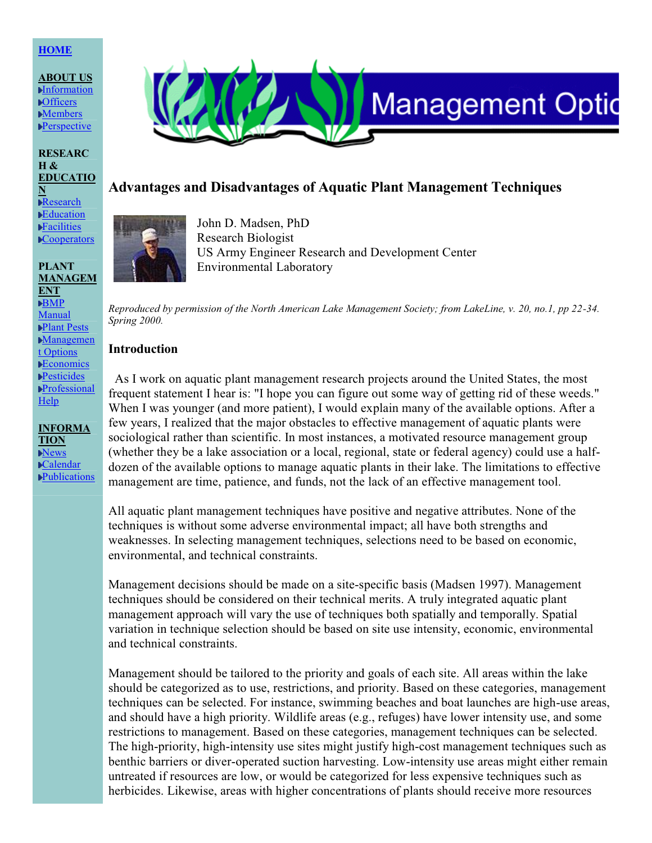## **[HOME](http://www.aquatics.org/index.html)**

**ABOUT US [Information](http://www.aquatics.org/info.htm) [Officers](http://www.aquatics.org/officers.htm)** [Members](http://www.aquatics.org/members/members.htm) **[Perspective](http://www.aquatics.org/perspective.htm)** 

**RESEARC H & EDUCATIO N** [Research](http://www.aquatics.org/research.htm) **[Education](http://www.aquatics.org/educate.htm) [Facilities](http://www.aquatics.org/facility.htm) [Cooperators](http://www.aquatics.org/coops.htm)** 

**PLANT MANAGEM**

**INFORMA TION** [News](http://www.aquatics.org/news.htm) [Calendar](http://www.aquatics.org/date.htm) [Publications](http://www.aquatics.org/pubs/pubs.htm)

**ENT** [BMP](http://www.aquatics.org/bmp.htm) [Manual](http://www.aquatics.org/bmp.htm) **▶Plant [Pests](http://www.aquatics.org/plants.htm)** [Managemen](http://www.aquatics.org/pubs/madsen2.htm) t [Options](http://www.aquatics.org/pubs/madsen2.htm) **[Economics](http://www.aquatics.org/pubs/economics.htm) [Pesticides](http://www.aquatics.org/pesticide.htm)** [Professional](http://www.aquatics.org/members/map.htm) [Help](http://www.aquatics.org/members/map.htm)



John D. Madsen, PhD Research Biologist US Army Engineer Research and Development Center Environmental Laboratory

**Advantages and Disadvantages of Aquatic Plant Management Techniques**

**Management Optic** 

Reproduced by permission of the North American Lake Management Society; from LakeLine, v. 20, no.1, pp 22-34. *Spring 2000.*

#### **Introduction**

As I work on aquatic plant management research projects around the United States, the most frequent statement I hear is: "I hope you can figure out some way of getting rid of these weeds." When I was younger (and more patient), I would explain many of the available options. After a few years, I realized that the major obstacles to effective management of aquatic plants were sociological rather than scientific. In most instances, a motivated resource management group (whether they be a lake association or a local, regional, state or federal agency) could use a halfdozen of the available options to manage aquatic plants in their lake. The limitations to effective management are time, patience, and funds, not the lack of an effective management tool.

All aquatic plant management techniques have positive and negative attributes. None of the techniques is without some adverse environmental impact; all have both strengths and weaknesses. In selecting management techniques, selections need to be based on economic, environmental, and technical constraints.

Management decisions should be made on a site-specific basis (Madsen 1997). Management techniques should be considered on their technical merits. A truly integrated aquatic plant management approach will vary the use of techniques both spatially and temporally. Spatial variation in technique selection should be based on site use intensity, economic, environmental and technical constraints.

Management should be tailored to the priority and goals of each site. All areas within the lake should be categorized as to use, restrictions, and priority. Based on these categories, management techniques can be selected. For instance, swimming beaches and boat launches are high-use areas, and should have a high priority. Wildlife areas (e.g., refuges) have lower intensity use, and some restrictions to management. Based on these categories, management techniques can be selected. The high-priority, high-intensity use sites might justify high-cost management techniques such as benthic barriers or diver-operated suction harvesting. Low-intensity use areas might either remain untreated if resources are low, or would be categorized for less expensive techniques such as herbicides. Likewise, areas with higher concentrations of plants should receive more resources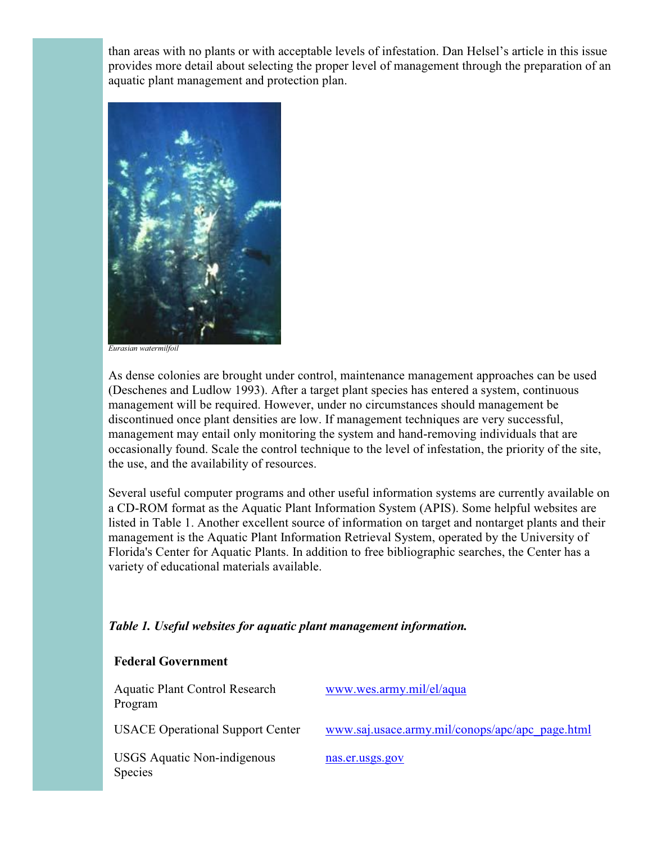than areas with no plants or with acceptable levels of infestation. Dan Helsel's article in this issue provides more detail about selecting the proper level of management through the preparation of an aquatic plant management and protection plan.



*Eurasian watermilfoil*

As dense colonies are brought under control, maintenance management approaches can be used (Deschenes and Ludlow 1993). After a target plant species has entered a system, continuous management will be required. However, under no circumstances should management be discontinued once plant densities are low. If management techniques are very successful, management may entail only monitoring the system and hand-removing individuals that are occasionally found. Scale the control technique to the level of infestation, the priority of the site, the use, and the availability of resources.

Several useful computer programs and other useful information systems are currently available on a CD-ROM format as the Aquatic Plant Information System (APIS). Some helpful websites are listed in Table 1. Another excellent source of information on target and nontarget plants and their management is the Aquatic Plant Information Retrieval System, operated by the University of Florida's Center for Aquatic Plants. In addition to free bibliographic searches, the Center has a variety of educational materials available.

## *Table 1. Useful websites for aquatic plant management information.*

## **Federal Government**

| <b>Aquatic Plant Control Research</b><br>Program | www.wes.army.mil/el/aqua                        |
|--------------------------------------------------|-------------------------------------------------|
| <b>USACE Operational Support Center</b>          | www.saj.usace.army.mil/conops/apc/apc_page.html |
| <b>USGS</b> Aquatic Non-indigenous<br>Species    | nas.er.usgs.gov                                 |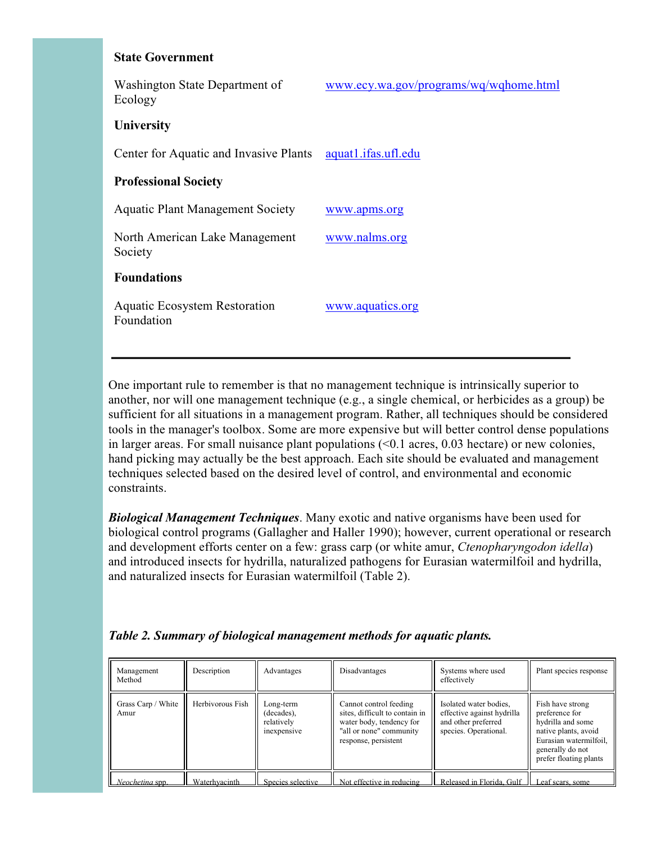#### **State Government**

| Washington State Department of<br>Ecology          | www.ecy.wa.gov/programs/wq/wqhome.html |
|----------------------------------------------------|----------------------------------------|
| <b>University</b>                                  |                                        |
| Center for Aquatic and Invasive Plants             | aquat1.ifas.ufl.edu                    |
| <b>Professional Society</b>                        |                                        |
| <b>Aquatic Plant Management Society</b>            | www.apms.org                           |
| North American Lake Management<br>Society          | www.nalms.org                          |
| <b>Foundations</b>                                 |                                        |
| <b>Aquatic Ecosystem Restoration</b><br>Foundation | www.aquatics.org                       |

One important rule to remember is that no management technique is intrinsically superior to another, nor will one management technique (e.g., a single chemical, or herbicides as a group) be sufficient for all situations in a management program. Rather, all techniques should be considered tools in the manager's toolbox. Some are more expensive but will better control dense populations in larger areas. For small nuisance plant populations (<0.1 acres, 0.03 hectare) or new colonies, hand picking may actually be the best approach. Each site should be evaluated and management techniques selected based on the desired level of control, and environmental and economic constraints.

*Biological Management Techniques*. Many exotic and native organisms have been used for biological control programs (Gallagher and Haller 1990); however, current operational or research and development efforts center on a few: grass carp (or white amur, *Ctenopharyngodon idella*) and introduced insects for hydrilla, naturalized pathogens for Eurasian watermilfoil and hydrilla, and naturalized insects for Eurasian watermilfoil (Table 2).

| Management<br>Method       | Description      | Advantages                                           | Disadvantages                                                                                                                           | Systems where used<br>effectively                                                                    | Plant species response                                                                                                                                  |
|----------------------------|------------------|------------------------------------------------------|-----------------------------------------------------------------------------------------------------------------------------------------|------------------------------------------------------------------------------------------------------|---------------------------------------------------------------------------------------------------------------------------------------------------------|
| Grass Carp / White<br>Amur | Herbivorous Fish | Long-term<br>(decades),<br>relatively<br>inexpensive | Cannot control feeding<br>sites, difficult to contain in<br>water body, tendency for<br>"all or none" community<br>response, persistent | Isolated water bodies,<br>effective against hydrilla<br>and other preferred<br>species. Operational. | Fish have strong<br>preference for<br>hydrilla and some<br>native plants, avoid<br>Eurasian watermilfoil,<br>generally do not<br>prefer floating plants |
| Neocheting spp.            | Waterhyacinth    | Species selective                                    | Not effective in reducing                                                                                                               | Released in Florida, Gulf                                                                            | Leaf scars, some                                                                                                                                        |

## *Table 2. Summary of biological management methods for aquatic plants.*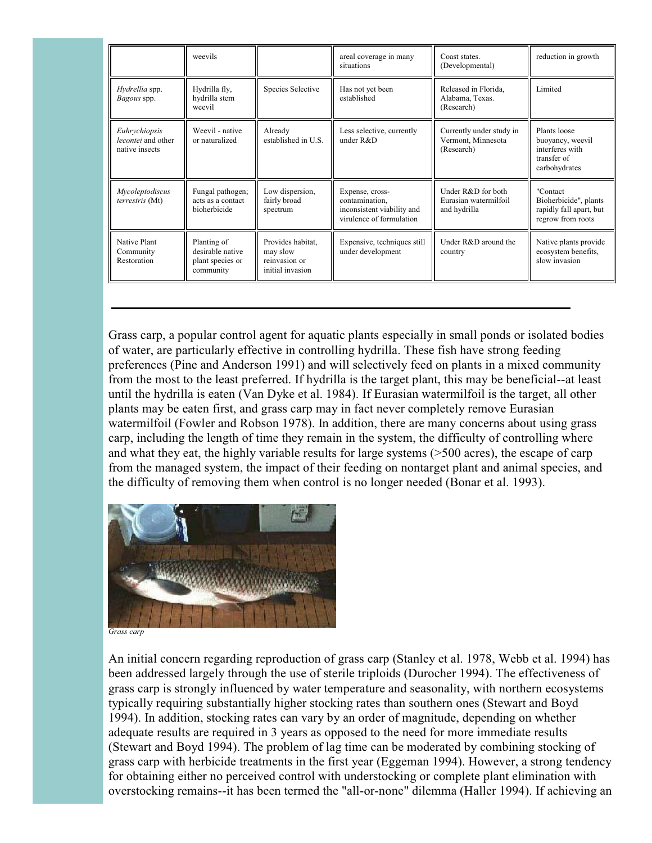|                                                       | weevils                                                          |                                                                    | areal coverage in many<br>situations                                                        | Coast states.<br>(Developmental)                             | reduction in growth                                                                 |
|-------------------------------------------------------|------------------------------------------------------------------|--------------------------------------------------------------------|---------------------------------------------------------------------------------------------|--------------------------------------------------------------|-------------------------------------------------------------------------------------|
| Hydrellia spp.<br>Bagous spp.                         | Hydrilla fly,<br>hydrilla stem<br>weevil                         | Species Selective                                                  | Has not yet been<br>established                                                             | Released in Florida,<br>Alabama, Texas.<br>(Research)        | Limited                                                                             |
| Euhrychiopsis<br>lecontei and other<br>native insects | Weevil - native<br>or naturalized                                | Already<br>established in U.S.                                     | Less selective, currently<br>under $R&D$                                                    | Currently under study in<br>Vermont, Minnesota<br>(Research) | Plants loose<br>buoyancy, weevil<br>interferes with<br>transfer of<br>carbohydrates |
| Mycoleptodiscus<br><i>terrestris</i> (Mt)             | Fungal pathogen;<br>acts as a contact<br>bioherbicide            | Low dispersion,<br>fairly broad<br>spectrum                        | Expense, cross-<br>contamination,<br>inconsistent viability and<br>virulence of formulation | Under R&D for both<br>Eurasian watermilfoil<br>and hydrilla  | "Contact<br>Bioherbicide", plants<br>rapidly fall apart, but<br>regrow from roots   |
| Native Plant<br>Community<br>Restoration              | Planting of<br>desirable native<br>plant species or<br>community | Provides habitat,<br>may slow<br>reinvasion or<br>initial invasion | Expensive, techniques still<br>under development                                            | Under R&D around the<br>country                              | Native plants provide<br>ecosystem benefits,<br>slow invasion                       |

Grass carp, a popular control agent for aquatic plants especially in small ponds or isolated bodies of water, are particularly effective in controlling hydrilla. These fish have strong feeding preferences (Pine and Anderson 1991) and will selectively feed on plants in a mixed community from the most to the least preferred. If hydrilla is the target plant, this may be beneficial--at least until the hydrilla is eaten (Van Dyke et al. 1984). If Eurasian watermilfoil is the target, all other plants may be eaten first, and grass carp may in fact never completely remove Eurasian watermilfoil (Fowler and Robson 1978). In addition, there are many concerns about using grass carp, including the length of time they remain in the system, the difficulty of controlling where and what they eat, the highly variable results for large systems (>500 acres), the escape of carp from the managed system, the impact of their feeding on nontarget plant and animal species, and the difficulty of removing them when control is no longer needed (Bonar et al. 1993).



*Grass carp*

An initial concern regarding reproduction of grass carp (Stanley et al. 1978, Webb et al. 1994) has been addressed largely through the use of sterile triploids (Durocher 1994). The effectiveness of grass carp is strongly influenced by water temperature and seasonality, with northern ecosystems typically requiring substantially higher stocking rates than southern ones (Stewart and Boyd 1994). In addition, stocking rates can vary by an order of magnitude, depending on whether adequate results are required in 3 years as opposed to the need for more immediate results (Stewart and Boyd 1994). The problem of lag time can be moderated by combining stocking of grass carp with herbicide treatments in the first year (Eggeman 1994). However, a strong tendency for obtaining either no perceived control with understocking or complete plant elimination with overstocking remains--it has been termed the "all-or-none" dilemma (Haller 1994). If achieving an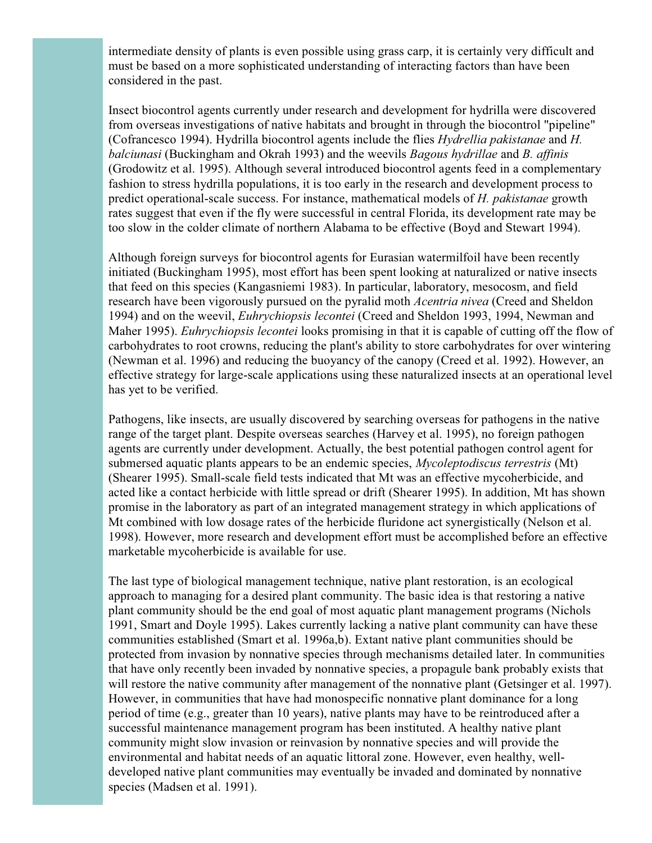intermediate density of plants is even possible using grass carp, it is certainly very difficult and must be based on a more sophisticated understanding of interacting factors than have been considered in the past.

Insect biocontrol agents currently under research and development for hydrilla were discovered from overseas investigations of native habitats and brought in through the biocontrol "pipeline" (Cofrancesco 1994). Hydrilla biocontrol agents include the flies *Hydrellia pakistanae* and *H. balciunasi* (Buckingham and Okrah 1993) and the weevils *Bagous hydrillae* and *B. affinis* (Grodowitz et al. 1995). Although several introduced biocontrol agents feed in a complementary fashion to stress hydrilla populations, it is too early in the research and development process to predict operational-scale success. For instance, mathematical models of *H. pakistanae* growth rates suggest that even if the fly were successful in central Florida, its development rate may be too slow in the colder climate of northern Alabama to be effective (Boyd and Stewart 1994).

Although foreign surveys for biocontrol agents for Eurasian watermilfoil have been recently initiated (Buckingham 1995), most effort has been spent looking at naturalized or native insects that feed on this species (Kangasniemi 1983). In particular, laboratory, mesocosm, and field research have been vigorously pursued on the pyralid moth *Acentria nivea* (Creed and Sheldon 1994) and on the weevil, *Euhrychiopsis lecontei* (Creed and Sheldon 1993, 1994, Newman and Maher 1995). *Euhrychiopsis lecontei* looks promising in that it is capable of cutting off the flow of carbohydrates to root crowns, reducing the plant's ability to store carbohydrates for over wintering (Newman et al. 1996) and reducing the buoyancy of the canopy (Creed et al. 1992). However, an effective strategy for large-scale applications using these naturalized insects at an operational level has yet to be verified.

Pathogens, like insects, are usually discovered by searching overseas for pathogens in the native range of the target plant. Despite overseas searches (Harvey et al. 1995), no foreign pathogen agents are currently under development. Actually, the best potential pathogen control agent for submersed aquatic plants appears to be an endemic species, *Mycoleptodiscus terrestris* (Mt) (Shearer 1995). Small-scale field tests indicated that Mt was an effective mycoherbicide, and acted like a contact herbicide with little spread or drift (Shearer 1995). In addition, Mt has shown promise in the laboratory as part of an integrated management strategy in which applications of Mt combined with low dosage rates of the herbicide fluridone act synergistically (Nelson et al. 1998). However, more research and development effort must be accomplished before an effective marketable mycoherbicide is available for use.

The last type of biological management technique, native plant restoration, is an ecological approach to managing for a desired plant community. The basic idea is that restoring a native plant community should be the end goal of most aquatic plant management programs (Nichols 1991, Smart and Doyle 1995). Lakes currently lacking a native plant community can have these communities established (Smart et al. 1996a,b). Extant native plant communities should be protected from invasion by nonnative species through mechanisms detailed later. In communities that have only recently been invaded by nonnative species, a propagule bank probably exists that will restore the native community after management of the nonnative plant (Getsinger et al. 1997). However, in communities that have had monospecific nonnative plant dominance for a long period of time (e.g., greater than 10 years), native plants may have to be reintroduced after a successful maintenance management program has been instituted. A healthy native plant community might slow invasion or reinvasion by nonnative species and will provide the environmental and habitat needs of an aquatic littoral zone. However, even healthy, welldeveloped native plant communities may eventually be invaded and dominated by nonnative species (Madsen et al. 1991).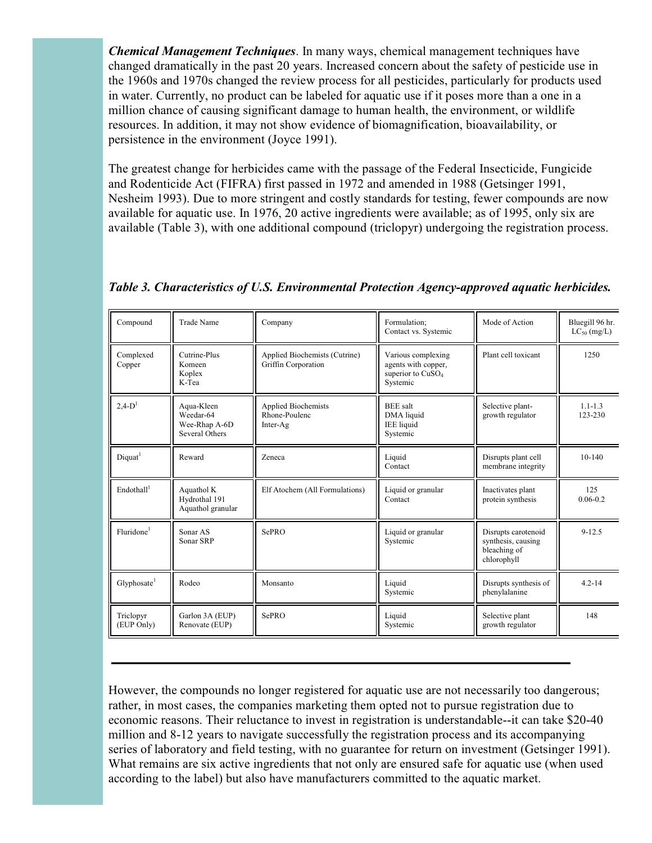*Chemical Management Techniques*. In many ways, chemical management techniques have changed dramatically in the past 20 years. Increased concern about the safety of pesticide use in the 1960s and 1970s changed the review process for all pesticides, particularly for products used in water. Currently, no product can be labeled for aquatic use if it poses more than a one in a million chance of causing significant damage to human health, the environment, or wildlife resources. In addition, it may not show evidence of biomagnification, bioavailability, or persistence in the environment (Joyce 1991).

The greatest change for herbicides came with the passage of the Federal Insecticide, Fungicide and Rodenticide Act (FIFRA) first passed in 1972 and amended in 1988 (Getsinger 1991, Nesheim 1993). Due to more stringent and costly standards for testing, fewer compounds are now available for aquatic use. In 1976, 20 active ingredients were available; as of 1995, only six are available (Table 3), with one additional compound (triclopyr) undergoing the registration process.

| Compound                | <b>Trade Name</b>                                          | Company                                                 | Formulation;<br>Contact vs. Systemic                                                   | Mode of Action                                                           | Bluegill 96 hr.<br>$LC_{50}$ (mg/L) |
|-------------------------|------------------------------------------------------------|---------------------------------------------------------|----------------------------------------------------------------------------------------|--------------------------------------------------------------------------|-------------------------------------|
| Complexed<br>Copper     | Cutrine-Plus<br>Komeen<br>Koplex<br>K-Tea                  | Applied Biochemists (Cutrine)<br>Griffin Corporation    | Various complexing<br>agents with copper,<br>superior to CuSO <sub>4</sub><br>Systemic | Plant cell toxicant                                                      | 1250                                |
| $2.4-D1$                | Aqua-Kleen<br>Weedar-64<br>Wee-Rhap A-6D<br>Several Others | <b>Applied Biochemists</b><br>Rhone-Poulenc<br>Inter-Ag | <b>BEE</b> salt<br>DMA liquid<br><b>IEE</b> liquid<br>Systemic                         | Selective plant-<br>growth regulator                                     | $1.1 - 1.3$<br>123-230              |
| Diquat <sup>1</sup>     | Reward                                                     | Zeneca                                                  | Liquid<br>Contact                                                                      | Disrupts plant cell<br>membrane integrity                                | $10-140$                            |
| Endothall <sup>1</sup>  | Aquathol K<br>Hydrothal 191<br>Aquathol granular           | Elf Atochem (All Formulations)                          | Liquid or granular<br>Contact                                                          | Inactivates plant<br>protein synthesis                                   | 125<br>$0.06 - 0.2$                 |
| Fluridone <sup>1</sup>  | Sonar AS<br>Sonar SRP                                      | SePRO                                                   | Liquid or granular<br>Systemic                                                         | Disrupts carotenoid<br>synthesis, causing<br>bleaching of<br>chlorophyll | $9 - 12.5$                          |
| Glyphosate <sup>1</sup> | Rodeo                                                      | Monsanto                                                | Liquid<br>Systemic                                                                     | Disrupts synthesis of<br>phenylalanine                                   | $4.2 - 14$                          |
| Triclopyr<br>(EUP Only) | Garlon 3A (EUP)<br>Renovate (EUP)                          | SePRO                                                   | Liquid<br>Systemic                                                                     | Selective plant<br>growth regulator                                      | 148                                 |

*Table 3. Characteristics of U.S. Environmental Protection Agency-approved aquatic herbicides.*

However, the compounds no longer registered for aquatic use are not necessarily too dangerous; rather, in most cases, the companies marketing them opted not to pursue registration due to economic reasons. Their reluctance to invest in registration is understandable--it can take \$20-40 million and 8-12 years to navigate successfully the registration process and its accompanying series of laboratory and field testing, with no guarantee for return on investment (Getsinger 1991). What remains are six active ingredients that not only are ensured safe for aquatic use (when used according to the label) but also have manufacturers committed to the aquatic market.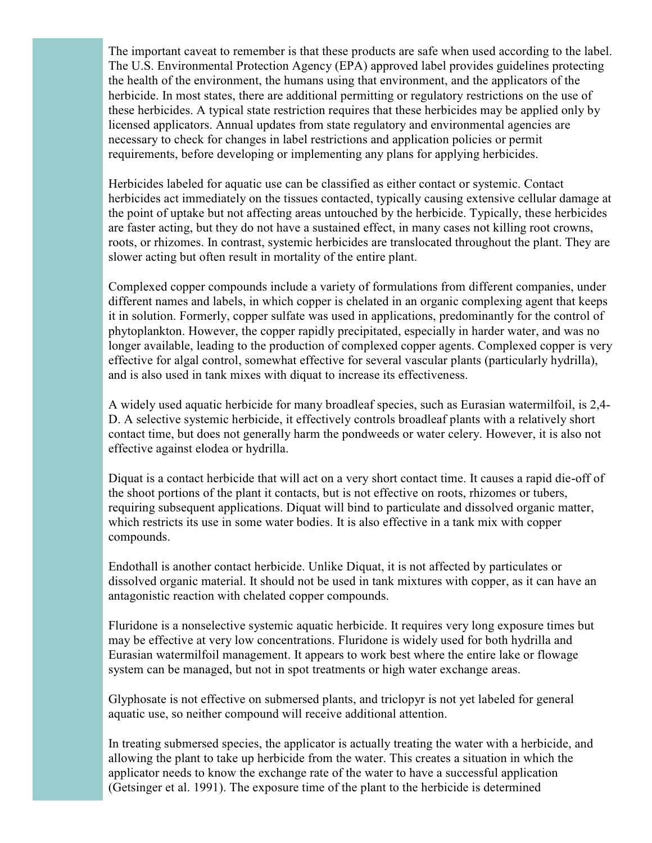The important caveat to remember is that these products are safe when used according to the label. The U.S. Environmental Protection Agency (EPA) approved label provides guidelines protecting the health of the environment, the humans using that environment, and the applicators of the herbicide. In most states, there are additional permitting or regulatory restrictions on the use of these herbicides. A typical state restriction requires that these herbicides may be applied only by licensed applicators. Annual updates from state regulatory and environmental agencies are necessary to check for changes in label restrictions and application policies or permit requirements, before developing or implementing any plans for applying herbicides.

Herbicides labeled for aquatic use can be classified as either contact or systemic. Contact herbicides act immediately on the tissues contacted, typically causing extensive cellular damage at the point of uptake but not affecting areas untouched by the herbicide. Typically, these herbicides are faster acting, but they do not have a sustained effect, in many cases not killing root crowns, roots, or rhizomes. In contrast, systemic herbicides are translocated throughout the plant. They are slower acting but often result in mortality of the entire plant.

Complexed copper compounds include a variety of formulations from different companies, under different names and labels, in which copper is chelated in an organic complexing agent that keeps it in solution. Formerly, copper sulfate was used in applications, predominantly for the control of phytoplankton. However, the copper rapidly precipitated, especially in harder water, and was no longer available, leading to the production of complexed copper agents. Complexed copper is very effective for algal control, somewhat effective for several vascular plants (particularly hydrilla), and is also used in tank mixes with diquat to increase its effectiveness.

A widely used aquatic herbicide for many broadleaf species, such as Eurasian watermilfoil, is 2,4- D. A selective systemic herbicide, it effectively controls broadleaf plants with a relatively short contact time, but does not generally harm the pondweeds or water celery. However, it is also not effective against elodea or hydrilla.

Diquat is a contact herbicide that will act on a very short contact time. It causes a rapid die-off of the shoot portions of the plant it contacts, but is not effective on roots, rhizomes or tubers, requiring subsequent applications. Diquat will bind to particulate and dissolved organic matter, which restricts its use in some water bodies. It is also effective in a tank mix with copper compounds.

Endothall is another contact herbicide. Unlike Diquat, it is not affected by particulates or dissolved organic material. It should not be used in tank mixtures with copper, as it can have an antagonistic reaction with chelated copper compounds.

Fluridone is a nonselective systemic aquatic herbicide. It requires very long exposure times but may be effective at very low concentrations. Fluridone is widely used for both hydrilla and Eurasian watermilfoil management. It appears to work best where the entire lake or flowage system can be managed, but not in spot treatments or high water exchange areas.

Glyphosate is not effective on submersed plants, and triclopyr is not yet labeled for general aquatic use, so neither compound will receive additional attention.

In treating submersed species, the applicator is actually treating the water with a herbicide, and allowing the plant to take up herbicide from the water. This creates a situation in which the applicator needs to know the exchange rate of the water to have a successful application (Getsinger et al. 1991). The exposure time of the plant to the herbicide is determined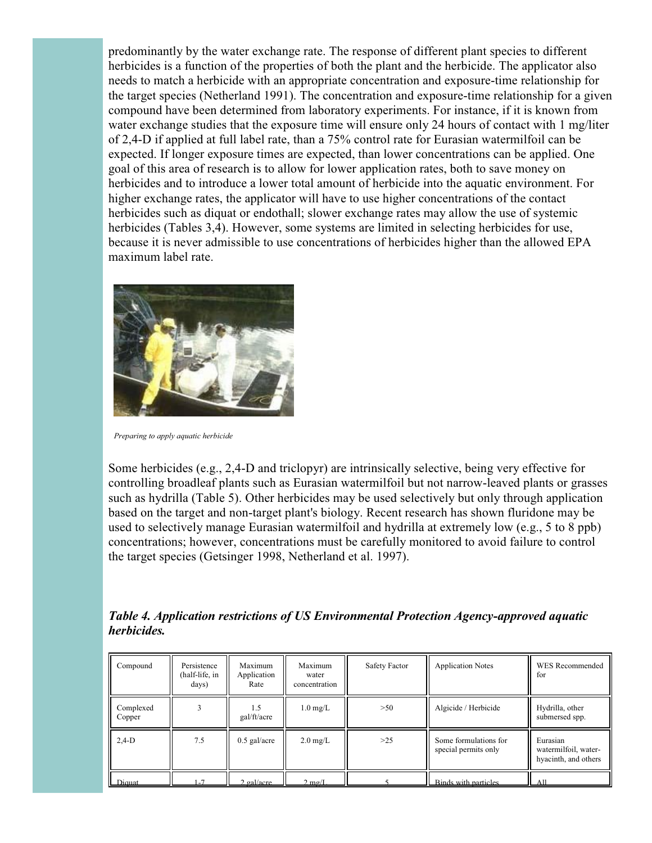predominantly by the water exchange rate. The response of different plant species to different herbicides is a function of the properties of both the plant and the herbicide. The applicator also needs to match a herbicide with an appropriate concentration and exposure-time relationship for the target species (Netherland 1991). The concentration and exposure-time relationship for a given compound have been determined from laboratory experiments. For instance, if it is known from water exchange studies that the exposure time will ensure only 24 hours of contact with 1 mg/liter of 2,4-D if applied at full label rate, than a 75% control rate for Eurasian watermilfoil can be expected. If longer exposure times are expected, than lower concentrations can be applied. One goal of this area of research is to allow for lower application rates, both to save money on herbicides and to introduce a lower total amount of herbicide into the aquatic environment. For higher exchange rates, the applicator will have to use higher concentrations of the contact herbicides such as diquat or endothall; slower exchange rates may allow the use of systemic herbicides (Tables 3,4). However, some systems are limited in selecting herbicides for use, because it is never admissible to use concentrations of herbicides higher than the allowed EPA maximum label rate.



*Preparing to apply aquatic herbicide*

Some herbicides (e.g., 2,4-D and triclopyr) are intrinsically selective, being very effective for controlling broadleaf plants such as Eurasian watermilfoil but not narrow-leaved plants or grasses such as hydrilla (Table 5). Other herbicides may be used selectively but only through application based on the target and non-target plant's biology. Recent research has shown fluridone may be used to selectively manage Eurasian watermilfoil and hydrilla at extremely low (e.g., 5 to 8 ppb) concentrations; however, concentrations must be carefully monitored to avoid failure to control the target species (Getsinger 1998, Netherland et al. 1997).

*Table 4. Application restrictions of US Environmental Protection Agency-approved aquatic herbicides.*

| Compound            | Persistence<br>(half-life, in<br>days) | Maximum<br>Application<br>Rate | Maximum<br>water<br>concentration | Safety Factor | <b>Application Notes</b>                      | WES Recommended<br>for                                   |
|---------------------|----------------------------------------|--------------------------------|-----------------------------------|---------------|-----------------------------------------------|----------------------------------------------------------|
| Complexed<br>Copper |                                        | 1.5<br>gal/ft/acre             | $1.0 \text{ mg/L}$                | >50           | Algicide / Herbicide                          | Hydrilla, other<br>submersed spp.                        |
| $2,4-D$             | 7.5                                    | $0.5$ gal/acre                 | $2.0 \text{ mg/L}$                | $>25$         | Some formulations for<br>special permits only | Eurasian<br>watermilfoil, water-<br>hyacinth, and others |
| Diquat              | $1 - 7$                                | gal/acre                       | $2 \text{ mg/L}$                  |               | Binds with particles                          | A11                                                      |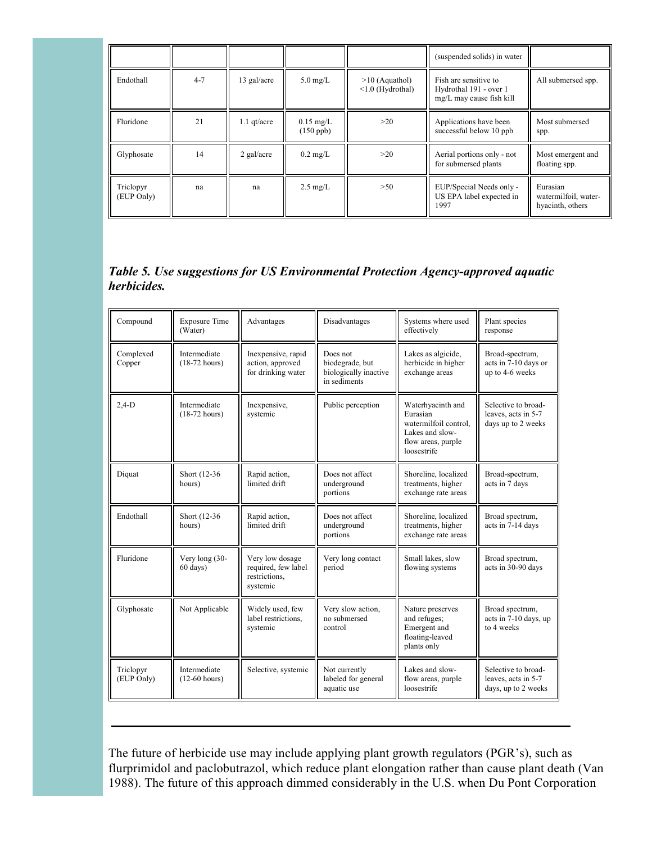|                         |         |               |                            |                                         | (suspended solids) in water                                                 |                                                      |
|-------------------------|---------|---------------|----------------------------|-----------------------------------------|-----------------------------------------------------------------------------|------------------------------------------------------|
| Endothall               | $4 - 7$ | 13 gal/acre   | $5.0 \text{ mg/L}$         | $>10$ (Aquathol)<br>$< 1.0$ (Hydrothal) | Fish are sensitive to<br>Hydrothal 191 - over 1<br>mg/L may cause fish kill | All submersed spp.                                   |
| Fluridone               | 21      | $1.1$ qt/acre | $0.15$ mg/L<br>$(150$ ppb) | >20                                     | Applications have been<br>successful below 10 ppb                           | Most submersed<br>spp.                               |
| Glyphosate              | 14      | $2$ gal/acre  | $0.2 \text{ mg/L}$         | >20                                     | Aerial portions only - not<br>for submersed plants                          | Most emergent and<br>floating spp.                   |
| Triclopyr<br>(EUP Only) | na      | na            | $2.5 \text{ mg/L}$         | >50                                     | EUP/Special Needs only -<br>US EPA label expected in<br>1997                | Eurasian<br>watermilfoil, water-<br>hyacinth, others |

## *Table 5. Use suggestions for US Environmental Protection Agency-approved aquatic herbicides.*

| Compound                | <b>Exposure Time</b><br>(Water)     | Advantages                                                          | Disadvantages                                                        | Systems where used<br>effectively                                                                              | Plant species<br>response                                         |
|-------------------------|-------------------------------------|---------------------------------------------------------------------|----------------------------------------------------------------------|----------------------------------------------------------------------------------------------------------------|-------------------------------------------------------------------|
| Complexed<br>Copper     | Intermediate<br>$(18-72$ hours)     | Inexpensive, rapid<br>action, approved<br>for drinking water        | Does not<br>biodegrade, but<br>biologically inactive<br>in sediments | Lakes as algicide,<br>herbicide in higher<br>exchange areas                                                    | Broad-spectrum,<br>acts in 7-10 days or<br>up to 4-6 weeks        |
| $2,4-D$                 | Intermediate<br>$(18-72$ hours)     | Inexpensive,<br>systemic                                            | Public perception                                                    | Waterhyacinth and<br>Eurasian<br>watermilfoil control.<br>Lakes and slow-<br>flow areas, purple<br>loosestrife | Selective to broad-<br>leaves, acts in 5-7<br>days up to 2 weeks  |
| Diquat                  | Short (12-36)<br>hours)             | Rapid action,<br>limited drift                                      | Does not affect<br>underground<br>portions                           | Shoreline, localized<br>treatments, higher<br>exchange rate areas                                              | Broad-spectrum,<br>acts in 7 days                                 |
| Endothall               | Short (12-36)<br>hours)             | Rapid action,<br>limited drift                                      | Does not affect<br>underground<br>portions                           | Shoreline, localized<br>treatments, higher<br>exchange rate areas                                              | Broad spectrum,<br>acts in 7-14 days                              |
| Fluridone               | Very long (30-<br>$60 \text{ days}$ | Very low dosage<br>required, few label<br>restrictions,<br>systemic | Very long contact<br>period                                          | Small lakes, slow<br>flowing systems                                                                           | Broad spectrum,<br>acts in 30-90 days                             |
| Glyphosate              | Not Applicable                      | Widely used, few<br>label restrictions,<br>systemic                 | Very slow action,<br>no submersed<br>control                         | Nature preserves<br>and refuges;<br>Emergent and<br>floating-leaved<br>plants only                             | Broad spectrum,<br>acts in 7-10 days, up<br>to 4 weeks            |
| Triclopyr<br>(EUP Only) | Intermediate<br>$(12-60$ hours)     | Selective, systemic                                                 | Not currently<br>labeled for general<br>aquatic use                  | Lakes and slow-<br>flow areas, purple<br>loosestrife                                                           | Selective to broad-<br>leaves, acts in 5-7<br>days, up to 2 weeks |

The future of herbicide use may include applying plant growth regulators (PGR's), such as flurprimidol and paclobutrazol, which reduce plant elongation rather than cause plant death (Van 1988). The future of this approach dimmed considerably in the U.S. when Du Pont Corporation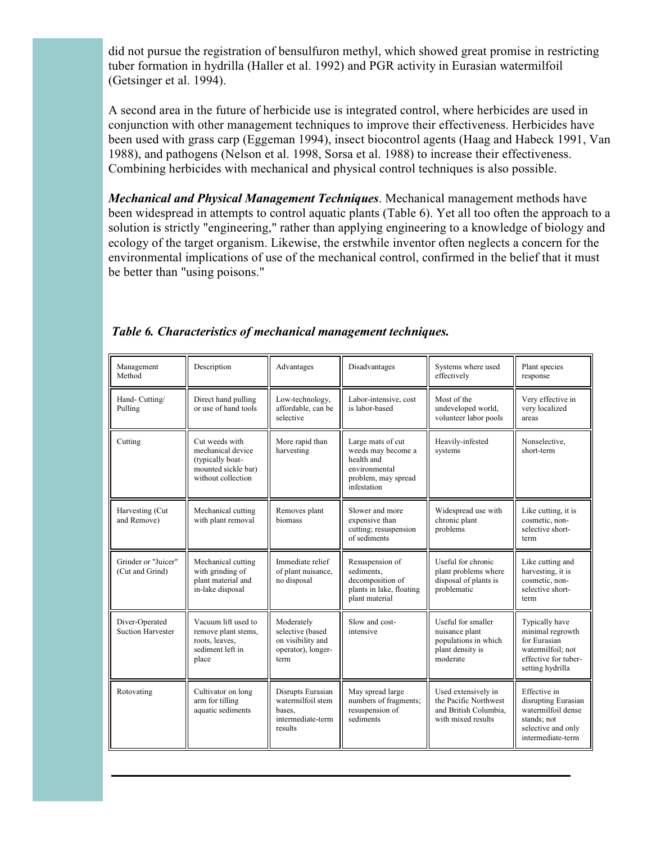did not pursue the registration of bensulfuron methyl, which showed great promise in restricting tuber formation in hydrilla (Haller et al. 1992) and PGR activity in Eurasian watermilfoil (Getsinger et al. 1994).

A second area in the future of herbicide use is integrated control, where herbicides are used in conjunction with other management techniques to improve their effectiveness. Herbicides have been used with grass carp (Eggeman 1994), insect biocontrol agents (Haag and Habeck 1991, Van 1988), and pathogens (Nelson et al. 1998, Sorsa et al. 1988) to increase their effectiveness. Combining herbicides with mechanical and physical control techniques is also possible.

*Mechanical and Physical Management Techniques*. Mechanical management methods have been widespread in attempts to control aquatic plants (Table 6). Yet all too often the approach to a solution is strictly "engineering," rather than applying engineering to a knowledge of biology and ecology of the target organism. Likewise, the erstwhile inventor often neglects a concern for the environmental implications of use of the mechanical control, confirmed in the belief that it must be better than "using poisons."

| Management<br>Method                       | Description                                                                                          | Advantages                                                                        | Disadvantages                                                                                                | Systems where used<br>effectively                                                            | Plant species<br>response                                                                                           |
|--------------------------------------------|------------------------------------------------------------------------------------------------------|-----------------------------------------------------------------------------------|--------------------------------------------------------------------------------------------------------------|----------------------------------------------------------------------------------------------|---------------------------------------------------------------------------------------------------------------------|
| Hand-Cutting/<br>Pulling                   | Direct hand pulling<br>or use of hand tools                                                          | Low-technology,<br>affordable, can be<br>selective                                | Labor-intensive, cost<br>is labor-based                                                                      | Most of the<br>undeveloped world,<br>volunteer labor pools                                   | Very effective in<br>very localized<br>areas                                                                        |
| Cutting                                    | Cut weeds with<br>mechanical device<br>(typically boat-<br>mounted sickle bar)<br>without collection | More rapid than<br>harvesting                                                     | Large mats of cut<br>weeds may become a<br>health and<br>environmental<br>problem, may spread<br>infestation | Heavily-infested<br>systems                                                                  | Nonselective,<br>short-term                                                                                         |
| Harvesting (Cut<br>and Remove)             | Mechanical cutting<br>with plant removal                                                             | Removes plant<br>biomass                                                          | Slower and more<br>expensive than<br>cutting; resuspension<br>of sediments                                   | Widespread use with<br>chronic plant<br>problems                                             | Like cutting, it is<br>cosmetic, non-<br>selective short-<br>term                                                   |
| Grinder or "Juicer"<br>(Cut and Grind)     | Mechanical cutting<br>with grinding of<br>plant material and<br>in-lake disposal                     | Immediate relief<br>of plant nuisance,<br>no disposal                             | Resuspension of<br>sediments.<br>decomposition of<br>plants in lake, floating<br>plant material              | Useful for chronic<br>plant problems where<br>disposal of plants is<br>problematic           | Like cutting and<br>harvesting, it is<br>cosmetic, non-<br>selective short-<br>term                                 |
| Diver-Operated<br><b>Suction Harvester</b> | Vacuum lift used to<br>remove plant stems,<br>roots, leaves,<br>sediment left in<br>place            | Moderately<br>selective (based<br>on visibility and<br>operator), longer-<br>term | Slow and cost-<br>intensive                                                                                  | Useful for smaller<br>nuisance plant<br>populations in which<br>plant density is<br>moderate | Typically have<br>minimal regrowth<br>for Eurasian<br>watermilfoil: not<br>effective for tuber-<br>setting hydrilla |
| Rotovating                                 | Cultivator on long<br>arm for tilling<br>aquatic sediments                                           | Disrupts Eurasian<br>watermilfoil stem<br>bases.<br>intermediate-term<br>results  | May spread large<br>numbers of fragments;<br>resuspension of<br>sediments                                    | Used extensively in<br>the Pacific Northwest<br>and British Columbia.<br>with mixed results  | Effective in<br>disrupting Eurasian<br>watermilfoil dense<br>stands; not<br>selective and only<br>intermediate-term |

*Table 6. Characteristics of mechanical management techniques.*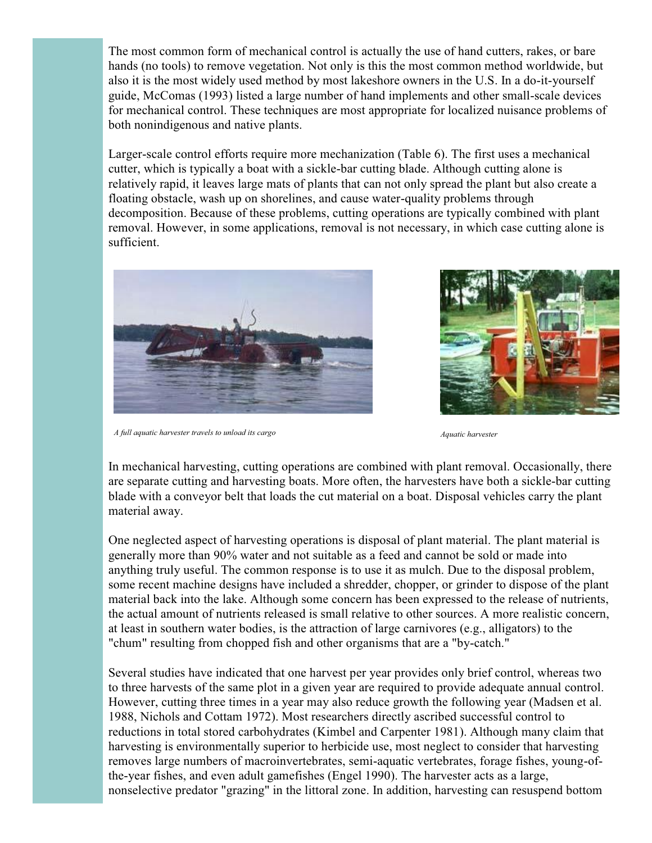The most common form of mechanical control is actually the use of hand cutters, rakes, or bare hands (no tools) to remove vegetation. Not only is this the most common method worldwide, but also it is the most widely used method by most lakeshore owners in the U.S. In a do-it-yourself guide, McComas (1993) listed a large number of hand implements and other small-scale devices for mechanical control. These techniques are most appropriate for localized nuisance problems of both nonindigenous and native plants.

Larger-scale control efforts require more mechanization (Table 6). The first uses a mechanical cutter, which is typically a boat with a sickle-bar cutting blade. Although cutting alone is relatively rapid, it leaves large mats of plants that can not only spread the plant but also create a floating obstacle, wash up on shorelines, and cause water-quality problems through decomposition. Because of these problems, cutting operations are typically combined with plant removal. However, in some applications, removal is not necessary, in which case cutting alone is sufficient.



*A full aquatic harvester travels to unload its cargo Aquatic harvester*



In mechanical harvesting, cutting operations are combined with plant removal. Occasionally, there are separate cutting and harvesting boats. More often, the harvesters have both a sickle-bar cutting blade with a conveyor belt that loads the cut material on a boat. Disposal vehicles carry the plant material away.

One neglected aspect of harvesting operations is disposal of plant material. The plant material is generally more than 90% water and not suitable as a feed and cannot be sold or made into anything truly useful. The common response is to use it as mulch. Due to the disposal problem, some recent machine designs have included a shredder, chopper, or grinder to dispose of the plant material back into the lake. Although some concern has been expressed to the release of nutrients, the actual amount of nutrients released is small relative to other sources. A more realistic concern, at least in southern water bodies, is the attraction of large carnivores (e.g., alligators) to the "chum" resulting from chopped fish and other organisms that are a "by-catch."

Several studies have indicated that one harvest per year provides only brief control, whereas two to three harvests of the same plot in a given year are required to provide adequate annual control. However, cutting three times in a year may also reduce growth the following year (Madsen et al. 1988, Nichols and Cottam 1972). Most researchers directly ascribed successful control to reductions in total stored carbohydrates (Kimbel and Carpenter 1981). Although many claim that harvesting is environmentally superior to herbicide use, most neglect to consider that harvesting removes large numbers of macroinvertebrates, semi-aquatic vertebrates, forage fishes, young-ofthe-year fishes, and even adult gamefishes (Engel 1990). The harvester acts as a large, nonselective predator "grazing" in the littoral zone. In addition, harvesting can resuspend bottom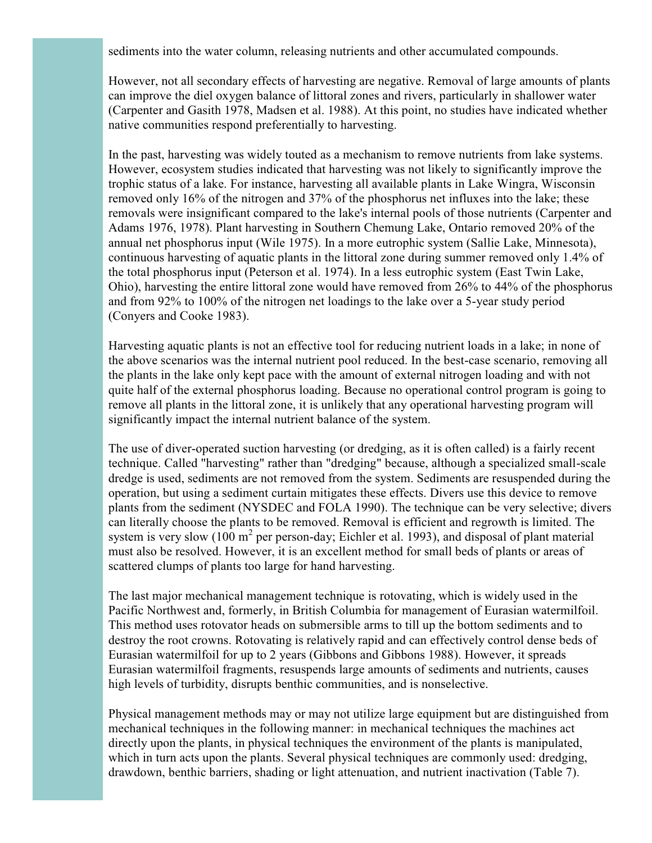sediments into the water column, releasing nutrients and other accumulated compounds.

However, not all secondary effects of harvesting are negative. Removal of large amounts of plants can improve the diel oxygen balance of littoral zones and rivers, particularly in shallower water (Carpenter and Gasith 1978, Madsen et al. 1988). At this point, no studies have indicated whether native communities respond preferentially to harvesting.

In the past, harvesting was widely touted as a mechanism to remove nutrients from lake systems. However, ecosystem studies indicated that harvesting was not likely to significantly improve the trophic status of a lake. For instance, harvesting all available plants in Lake Wingra, Wisconsin removed only 16% of the nitrogen and 37% of the phosphorus net influxes into the lake; these removals were insignificant compared to the lake's internal pools of those nutrients (Carpenter and Adams 1976, 1978). Plant harvesting in Southern Chemung Lake, Ontario removed 20% of the annual net phosphorus input (Wile 1975). In a more eutrophic system (Sallie Lake, Minnesota), continuous harvesting of aquatic plants in the littoral zone during summer removed only 1.4% of the total phosphorus input (Peterson et al. 1974). In a less eutrophic system (East Twin Lake, Ohio), harvesting the entire littoral zone would have removed from 26% to 44% of the phosphorus and from 92% to 100% of the nitrogen net loadings to the lake over a 5-year study period (Conyers and Cooke 1983).

Harvesting aquatic plants is not an effective tool for reducing nutrient loads in a lake; in none of the above scenarios was the internal nutrient pool reduced. In the best-case scenario, removing all the plants in the lake only kept pace with the amount of external nitrogen loading and with not quite half of the external phosphorus loading. Because no operational control program is going to remove all plants in the littoral zone, it is unlikely that any operational harvesting program will significantly impact the internal nutrient balance of the system.

The use of diver-operated suction harvesting (or dredging, as it is often called) is a fairly recent technique. Called "harvesting" rather than "dredging" because, although a specialized small-scale dredge is used, sediments are not removed from the system. Sediments are resuspended during the operation, but using a sediment curtain mitigates these effects. Divers use this device to remove plants from the sediment (NYSDEC and FOLA 1990). The technique can be very selective; divers can literally choose the plants to be removed. Removal is efficient and regrowth is limited. The system is very slow (100  $m^2$  per person-day; Eichler et al. 1993), and disposal of plant material must also be resolved. However, it is an excellent method for small beds of plants or areas of scattered clumps of plants too large for hand harvesting.

The last major mechanical management technique is rotovating, which is widely used in the Pacific Northwest and, formerly, in British Columbia for management of Eurasian watermilfoil. This method uses rotovator heads on submersible arms to till up the bottom sediments and to destroy the root crowns. Rotovating is relatively rapid and can effectively control dense beds of Eurasian watermilfoil for up to 2 years (Gibbons and Gibbons 1988). However, it spreads Eurasian watermilfoil fragments, resuspends large amounts of sediments and nutrients, causes high levels of turbidity, disrupts benthic communities, and is nonselective.

Physical management methods may or may not utilize large equipment but are distinguished from mechanical techniques in the following manner: in mechanical techniques the machines act directly upon the plants, in physical techniques the environment of the plants is manipulated, which in turn acts upon the plants. Several physical techniques are commonly used: dredging, drawdown, benthic barriers, shading or light attenuation, and nutrient inactivation (Table 7).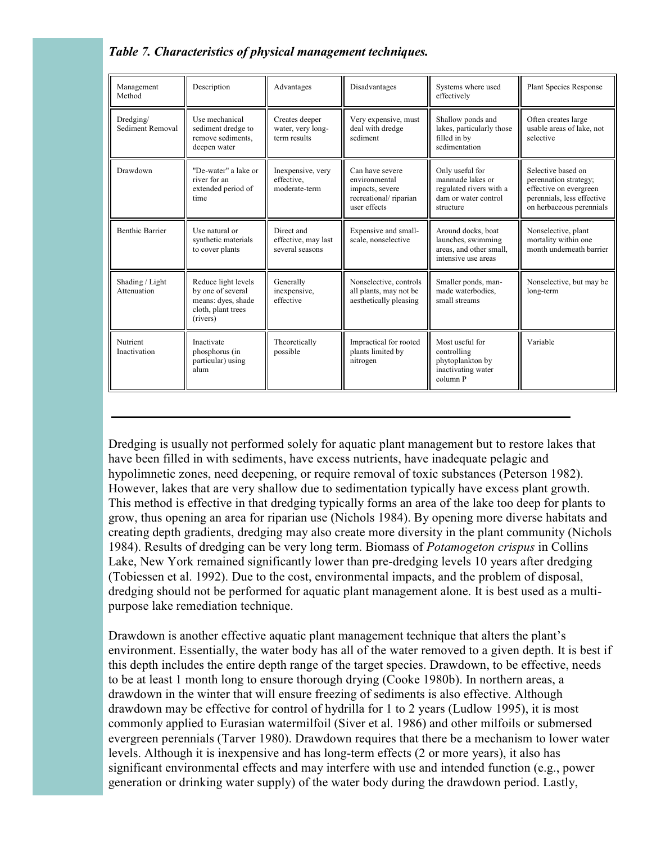# *Table 7. Characteristics of physical management techniques.*

| Management<br>Method           | Description                                                                                      | Advantages                                           | Disadvantages                                                                                | Systems where used<br>effectively                                                                   | <b>Plant Species Response</b>                                                                                                   |
|--------------------------------|--------------------------------------------------------------------------------------------------|------------------------------------------------------|----------------------------------------------------------------------------------------------|-----------------------------------------------------------------------------------------------------|---------------------------------------------------------------------------------------------------------------------------------|
| Dredging/<br>Sediment Removal  | Use mechanical<br>sediment dredge to<br>remove sediments.<br>deepen water                        | Creates deeper<br>water, very long-<br>term results  | Very expensive, must<br>deal with dredge<br>sediment                                         | Shallow ponds and<br>lakes, particularly those<br>filled in by<br>sedimentation                     | Often creates large<br>usable areas of lake, not<br>selective                                                                   |
| Drawdown                       | "De-water" a lake or<br>river for an<br>extended period of<br>time                               | Inexpensive, very<br>effective,<br>moderate-term     | Can have severe<br>environmental<br>impacts, severe<br>recreational/riparian<br>user effects | Only useful for<br>manmade lakes or<br>regulated rivers with a<br>dam or water control<br>structure | Selective based on<br>perennation strategy;<br>effective on evergreen<br>perennials, less effective<br>on herbaceous perennials |
| <b>Benthic Barrier</b>         | Use natural or<br>synthetic materials<br>to cover plants                                         | Direct and<br>effective, may last<br>several seasons | Expensive and small-<br>scale, nonselective                                                  | Around docks, boat<br>launches, swimming<br>areas, and other small,<br>intensive use areas          | Nonselective, plant<br>mortality within one<br>month underneath barrier                                                         |
| Shading / Light<br>Attenuation | Reduce light levels<br>by one of several<br>means: dyes, shade<br>cloth, plant trees<br>(rivers) | Generally<br>inexpensive,<br>effective               | Nonselective, controls<br>all plants, may not be<br>aesthetically pleasing                   | Smaller ponds, man-<br>made waterbodies.<br>small streams                                           | Nonselective, but may be<br>long-term                                                                                           |
| Nutrient<br>Inactivation       | Inactivate<br>phosphorus (in<br>particular) using<br>alum                                        | Theoretically<br>possible                            | Impractical for rooted<br>plants limited by<br>nitrogen                                      | Most useful for<br>controlling<br>phytoplankton by<br>inactivating water<br>column P                | Variable                                                                                                                        |

Dredging is usually not performed solely for aquatic plant management but to restore lakes that have been filled in with sediments, have excess nutrients, have inadequate pelagic and hypolimnetic zones, need deepening, or require removal of toxic substances (Peterson 1982). However, lakes that are very shallow due to sedimentation typically have excess plant growth. This method is effective in that dredging typically forms an area of the lake too deep for plants to grow, thus opening an area for riparian use (Nichols 1984). By opening more diverse habitats and creating depth gradients, dredging may also create more diversity in the plant community (Nichols 1984). Results of dredging can be very long term. Biomass of *Potamogeton crispus* in Collins Lake, New York remained significantly lower than pre-dredging levels 10 years after dredging (Tobiessen et al. 1992). Due to the cost, environmental impacts, and the problem of disposal, dredging should not be performed for aquatic plant management alone. It is best used as a multipurpose lake remediation technique.

Drawdown is another effective aquatic plant management technique that alters the plant's environment. Essentially, the water body has all of the water removed to a given depth. It is best if this depth includes the entire depth range of the target species. Drawdown, to be effective, needs to be at least 1 month long to ensure thorough drying (Cooke 1980b). In northern areas, a drawdown in the winter that will ensure freezing of sediments is also effective. Although drawdown may be effective for control of hydrilla for 1 to 2 years (Ludlow 1995), it is most commonly applied to Eurasian watermilfoil (Siver et al. 1986) and other milfoils or submersed evergreen perennials (Tarver 1980). Drawdown requires that there be a mechanism to lower water levels. Although it is inexpensive and has long-term effects (2 or more years), it also has significant environmental effects and may interfere with use and intended function (e.g., power generation or drinking water supply) of the water body during the drawdown period. Lastly,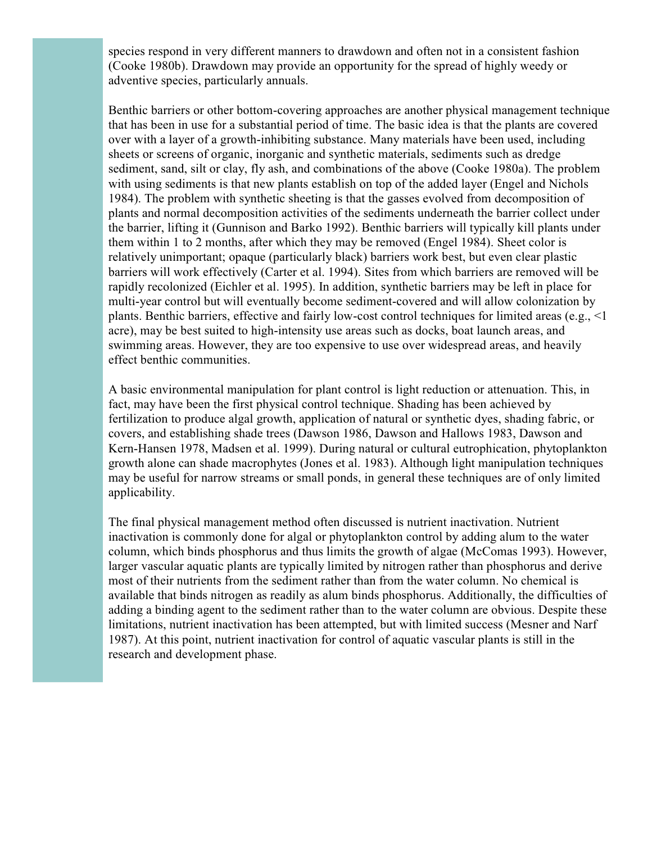species respond in very different manners to drawdown and often not in a consistent fashion (Cooke 1980b). Drawdown may provide an opportunity for the spread of highly weedy or adventive species, particularly annuals.

Benthic barriers or other bottom-covering approaches are another physical management technique that has been in use for a substantial period of time. The basic idea is that the plants are covered over with a layer of a growth-inhibiting substance. Many materials have been used, including sheets or screens of organic, inorganic and synthetic materials, sediments such as dredge sediment, sand, silt or clay, fly ash, and combinations of the above (Cooke 1980a). The problem with using sediments is that new plants establish on top of the added layer (Engel and Nichols 1984). The problem with synthetic sheeting is that the gasses evolved from decomposition of plants and normal decomposition activities of the sediments underneath the barrier collect under the barrier, lifting it (Gunnison and Barko 1992). Benthic barriers will typically kill plants under them within 1 to 2 months, after which they may be removed (Engel 1984). Sheet color is relatively unimportant; opaque (particularly black) barriers work best, but even clear plastic barriers will work effectively (Carter et al. 1994). Sites from which barriers are removed will be rapidly recolonized (Eichler et al. 1995). In addition, synthetic barriers may be left in place for multi-year control but will eventually become sediment-covered and will allow colonization by plants. Benthic barriers, effective and fairly low-cost control techniques for limited areas (e.g., <1 acre), may be best suited to high-intensity use areas such as docks, boat launch areas, and swimming areas. However, they are too expensive to use over widespread areas, and heavily effect benthic communities.

A basic environmental manipulation for plant control is light reduction or attenuation. This, in fact, may have been the first physical control technique. Shading has been achieved by fertilization to produce algal growth, application of natural or synthetic dyes, shading fabric, or covers, and establishing shade trees (Dawson 1986, Dawson and Hallows 1983, Dawson and Kern-Hansen 1978, Madsen et al. 1999). During natural or cultural eutrophication, phytoplankton growth alone can shade macrophytes (Jones et al. 1983). Although light manipulation techniques may be useful for narrow streams or small ponds, in general these techniques are of only limited applicability.

The final physical management method often discussed is nutrient inactivation. Nutrient inactivation is commonly done for algal or phytoplankton control by adding alum to the water column, which binds phosphorus and thus limits the growth of algae (McComas 1993). However, larger vascular aquatic plants are typically limited by nitrogen rather than phosphorus and derive most of their nutrients from the sediment rather than from the water column. No chemical is available that binds nitrogen as readily as alum binds phosphorus. Additionally, the difficulties of adding a binding agent to the sediment rather than to the water column are obvious. Despite these limitations, nutrient inactivation has been attempted, but with limited success (Mesner and Narf 1987). At this point, nutrient inactivation for control of aquatic vascular plants is still in the research and development phase.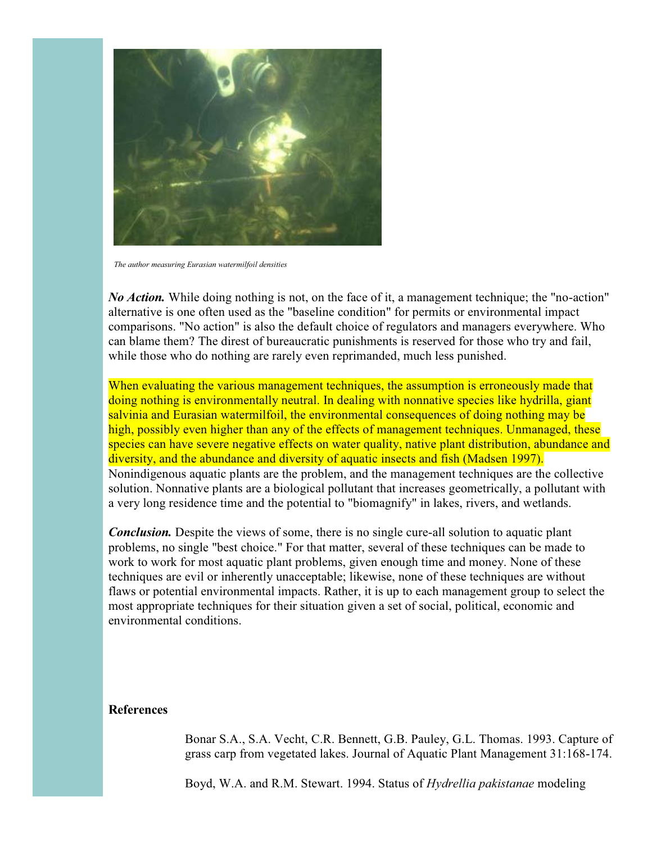

*The author measuring Eurasian watermilfoil densities*

*No Action.* While doing nothing is not, on the face of it, a management technique; the "no-action" alternative is one often used as the "baseline condition" for permits or environmental impact comparisons. "No action" is also the default choice of regulators and managers everywhere. Who can blame them? The direst of bureaucratic punishments is reserved for those who try and fail, while those who do nothing are rarely even reprimanded, much less punished.

When evaluating the various management techniques, the assumption is erroneously made that doing nothing is environmentally neutral. In dealing with nonnative species like hydrilla, giant salvinia and Eurasian watermilfoil, the environmental consequences of doing nothing may be high, possibly even higher than any of the effects of management techniques. Unmanaged, these species can have severe negative effects on water quality, native plant distribution, abundance and diversity, and the abundance and diversity of aquatic insects and fish (Madsen 1997). Nonindigenous aquatic plants are the problem, and the management techniques are the collective solution. Nonnative plants are a biological pollutant that increases geometrically, a pollutant with a very long residence time and the potential to "biomagnify" in lakes, rivers, and wetlands.

*Conclusion.* Despite the views of some, there is no single cure-all solution to aquatic plant problems, no single "best choice." For that matter, several of these techniques can be made to work to work for most aquatic plant problems, given enough time and money. None of these techniques are evil or inherently unacceptable; likewise, none of these techniques are without flaws or potential environmental impacts. Rather, it is up to each management group to select the most appropriate techniques for their situation given a set of social, political, economic and environmental conditions.

#### **References**

Bonar S.A., S.A. Vecht, C.R. Bennett, G.B. Pauley, G.L. Thomas. 1993. Capture of grass carp from vegetated lakes. Journal of Aquatic Plant Management 31:168-174.

Boyd, W.A. and R.M. Stewart. 1994. Status of *Hydrellia pakistanae* modeling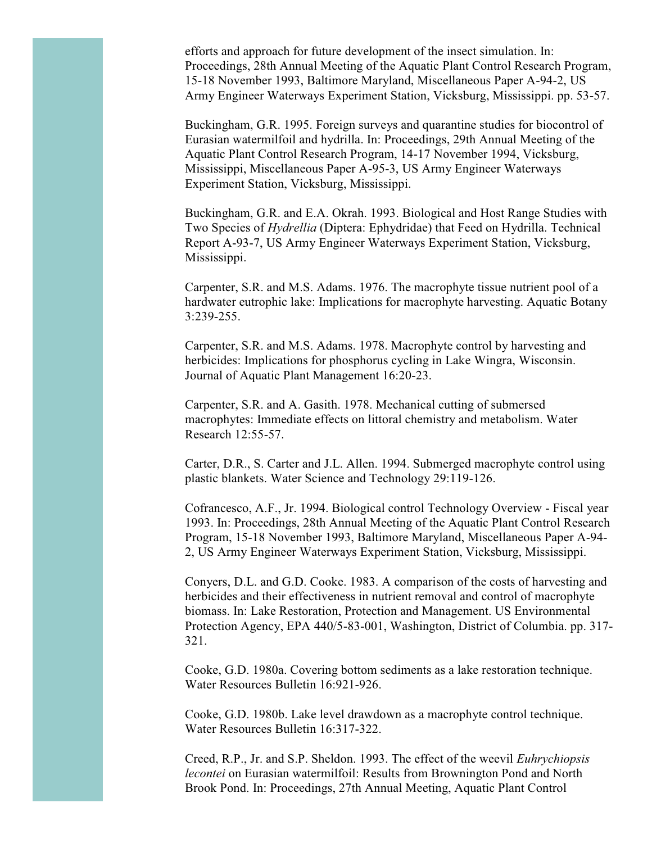efforts and approach for future development of the insect simulation. In: Proceedings, 28th Annual Meeting of the Aquatic Plant Control Research Program, 15-18 November 1993, Baltimore Maryland, Miscellaneous Paper A-94-2, US Army Engineer Waterways Experiment Station, Vicksburg, Mississippi. pp. 53-57.

Buckingham, G.R. 1995. Foreign surveys and quarantine studies for biocontrol of Eurasian watermilfoil and hydrilla. In: Proceedings, 29th Annual Meeting of the Aquatic Plant Control Research Program, 14-17 November 1994, Vicksburg, Mississippi, Miscellaneous Paper A-95-3, US Army Engineer Waterways Experiment Station, Vicksburg, Mississippi.

Buckingham, G.R. and E.A. Okrah. 1993. Biological and Host Range Studies with Two Species of *Hydrellia* (Diptera: Ephydridae) that Feed on Hydrilla. Technical Report A-93-7, US Army Engineer Waterways Experiment Station, Vicksburg, Mississippi.

Carpenter, S.R. and M.S. Adams. 1976. The macrophyte tissue nutrient pool of a hardwater eutrophic lake: Implications for macrophyte harvesting. Aquatic Botany 3:239-255.

Carpenter, S.R. and M.S. Adams. 1978. Macrophyte control by harvesting and herbicides: Implications for phosphorus cycling in Lake Wingra, Wisconsin. Journal of Aquatic Plant Management 16:20-23.

Carpenter, S.R. and A. Gasith. 1978. Mechanical cutting of submersed macrophytes: Immediate effects on littoral chemistry and metabolism. Water Research 12:55-57.

Carter, D.R., S. Carter and J.L. Allen. 1994. Submerged macrophyte control using plastic blankets. Water Science and Technology 29:119-126.

Cofrancesco, A.F., Jr. 1994. Biological control Technology Overview - Fiscal year 1993. In: Proceedings, 28th Annual Meeting of the Aquatic Plant Control Research Program, 15-18 November 1993, Baltimore Maryland, Miscellaneous Paper A-94- 2, US Army Engineer Waterways Experiment Station, Vicksburg, Mississippi.

Conyers, D.L. and G.D. Cooke. 1983. A comparison of the costs of harvesting and herbicides and their effectiveness in nutrient removal and control of macrophyte biomass. In: Lake Restoration, Protection and Management. US Environmental Protection Agency, EPA 440/5-83-001, Washington, District of Columbia. pp. 317- 321.

Cooke, G.D. 1980a. Covering bottom sediments as a lake restoration technique. Water Resources Bulletin 16:921-926.

Cooke, G.D. 1980b. Lake level drawdown as a macrophyte control technique. Water Resources Bulletin 16:317-322.

Creed, R.P., Jr. and S.P. Sheldon. 1993. The effect of the weevil *Euhrychiopsis lecontei* on Eurasian watermilfoil: Results from Brownington Pond and North Brook Pond. In: Proceedings, 27th Annual Meeting, Aquatic Plant Control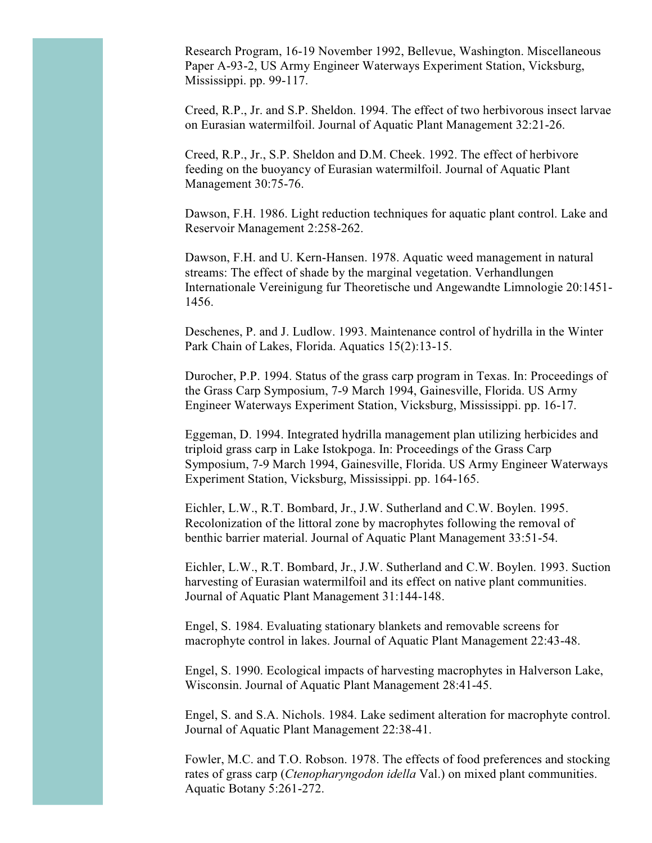Research Program, 16-19 November 1992, Bellevue, Washington. Miscellaneous Paper A-93-2, US Army Engineer Waterways Experiment Station, Vicksburg, Mississippi. pp. 99-117.

Creed, R.P., Jr. and S.P. Sheldon. 1994. The effect of two herbivorous insect larvae on Eurasian watermilfoil. Journal of Aquatic Plant Management 32:21-26.

Creed, R.P., Jr., S.P. Sheldon and D.M. Cheek. 1992. The effect of herbivore feeding on the buoyancy of Eurasian watermilfoil. Journal of Aquatic Plant Management 30:75-76.

Dawson, F.H. 1986. Light reduction techniques for aquatic plant control. Lake and Reservoir Management 2:258-262.

Dawson, F.H. and U. Kern-Hansen. 1978. Aquatic weed management in natural streams: The effect of shade by the marginal vegetation. Verhandlungen Internationale Vereinigung fur Theoretische und Angewandte Limnologie 20:1451- 1456.

Deschenes, P. and J. Ludlow. 1993. Maintenance control of hydrilla in the Winter Park Chain of Lakes, Florida. Aquatics 15(2):13-15.

Durocher, P.P. 1994. Status of the grass carp program in Texas. In: Proceedings of the Grass Carp Symposium, 7-9 March 1994, Gainesville, Florida. US Army Engineer Waterways Experiment Station, Vicksburg, Mississippi. pp. 16-17.

Eggeman, D. 1994. Integrated hydrilla management plan utilizing herbicides and triploid grass carp in Lake Istokpoga. In: Proceedings of the Grass Carp Symposium, 7-9 March 1994, Gainesville, Florida. US Army Engineer Waterways Experiment Station, Vicksburg, Mississippi. pp. 164-165.

Eichler, L.W., R.T. Bombard, Jr., J.W. Sutherland and C.W. Boylen. 1995. Recolonization of the littoral zone by macrophytes following the removal of benthic barrier material. Journal of Aquatic Plant Management 33:51-54.

Eichler, L.W., R.T. Bombard, Jr., J.W. Sutherland and C.W. Boylen. 1993. Suction harvesting of Eurasian watermilfoil and its effect on native plant communities. Journal of Aquatic Plant Management 31:144-148.

Engel, S. 1984. Evaluating stationary blankets and removable screens for macrophyte control in lakes. Journal of Aquatic Plant Management 22:43-48.

Engel, S. 1990. Ecological impacts of harvesting macrophytes in Halverson Lake, Wisconsin. Journal of Aquatic Plant Management 28:41-45.

Engel, S. and S.A. Nichols. 1984. Lake sediment alteration for macrophyte control. Journal of Aquatic Plant Management 22:38-41.

Fowler, M.C. and T.O. Robson. 1978. The effects of food preferences and stocking rates of grass carp (*Ctenopharyngodon idella* Val.) on mixed plant communities. Aquatic Botany 5:261-272.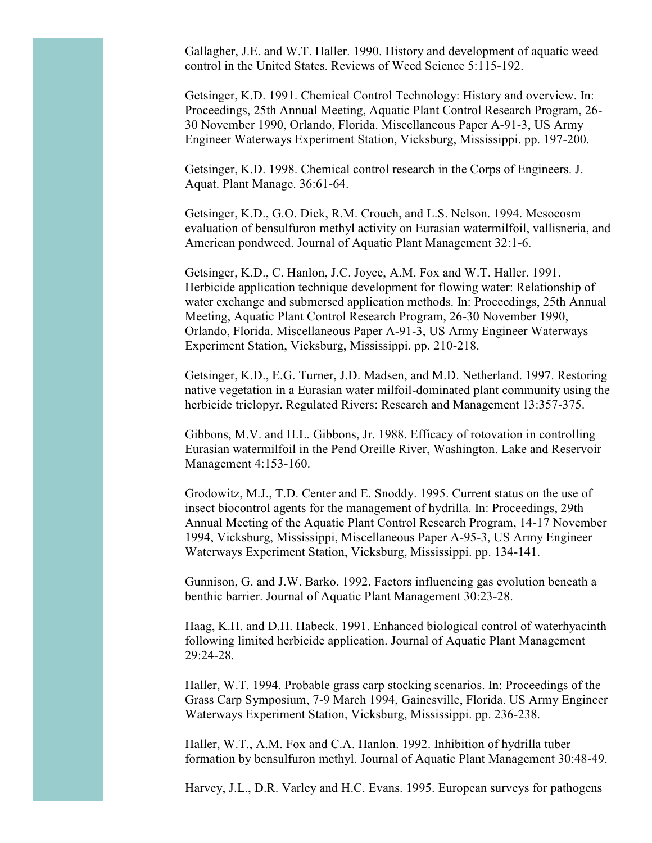Gallagher, J.E. and W.T. Haller. 1990. History and development of aquatic weed control in the United States. Reviews of Weed Science 5:115-192.

Getsinger, K.D. 1991. Chemical Control Technology: History and overview. In: Proceedings, 25th Annual Meeting, Aquatic Plant Control Research Program, 26- 30 November 1990, Orlando, Florida. Miscellaneous Paper A-91-3, US Army Engineer Waterways Experiment Station, Vicksburg, Mississippi. pp. 197-200.

Getsinger, K.D. 1998. Chemical control research in the Corps of Engineers. J. Aquat. Plant Manage. 36:61-64.

Getsinger, K.D., G.O. Dick, R.M. Crouch, and L.S. Nelson. 1994. Mesocosm evaluation of bensulfuron methyl activity on Eurasian watermilfoil, vallisneria, and American pondweed. Journal of Aquatic Plant Management 32:1-6.

Getsinger, K.D., C. Hanlon, J.C. Joyce, A.M. Fox and W.T. Haller. 1991. Herbicide application technique development for flowing water: Relationship of water exchange and submersed application methods. In: Proceedings, 25th Annual Meeting, Aquatic Plant Control Research Program, 26-30 November 1990, Orlando, Florida. Miscellaneous Paper A-91-3, US Army Engineer Waterways Experiment Station, Vicksburg, Mississippi. pp. 210-218.

Getsinger, K.D., E.G. Turner, J.D. Madsen, and M.D. Netherland. 1997. Restoring native vegetation in a Eurasian water milfoil-dominated plant community using the herbicide triclopyr. Regulated Rivers: Research and Management 13:357-375.

Gibbons, M.V. and H.L. Gibbons, Jr. 1988. Efficacy of rotovation in controlling Eurasian watermilfoil in the Pend Oreille River, Washington. Lake and Reservoir Management 4:153-160.

Grodowitz, M.J., T.D. Center and E. Snoddy. 1995. Current status on the use of insect biocontrol agents for the management of hydrilla. In: Proceedings, 29th Annual Meeting of the Aquatic Plant Control Research Program, 14-17 November 1994, Vicksburg, Mississippi, Miscellaneous Paper A-95-3, US Army Engineer Waterways Experiment Station, Vicksburg, Mississippi. pp. 134-141.

Gunnison, G. and J.W. Barko. 1992. Factors influencing gas evolution beneath a benthic barrier. Journal of Aquatic Plant Management 30:23-28.

Haag, K.H. and D.H. Habeck. 1991. Enhanced biological control of waterhyacinth following limited herbicide application. Journal of Aquatic Plant Management 29:24-28.

Haller, W.T. 1994. Probable grass carp stocking scenarios. In: Proceedings of the Grass Carp Symposium, 7-9 March 1994, Gainesville, Florida. US Army Engineer Waterways Experiment Station, Vicksburg, Mississippi. pp. 236-238.

Haller, W.T., A.M. Fox and C.A. Hanlon. 1992. Inhibition of hydrilla tuber formation by bensulfuron methyl. Journal of Aquatic Plant Management 30:48-49.

Harvey, J.L., D.R. Varley and H.C. Evans. 1995. European surveys for pathogens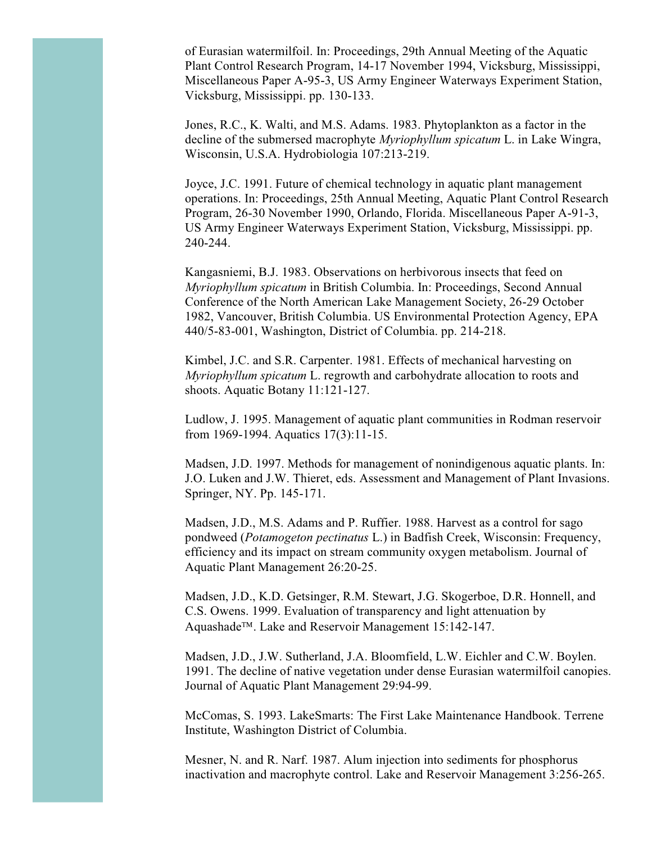of Eurasian watermilfoil. In: Proceedings, 29th Annual Meeting of the Aquatic Plant Control Research Program, 14-17 November 1994, Vicksburg, Mississippi, Miscellaneous Paper A-95-3, US Army Engineer Waterways Experiment Station, Vicksburg, Mississippi. pp. 130-133.

Jones, R.C., K. Walti, and M.S. Adams. 1983. Phytoplankton as a factor in the decline of the submersed macrophyte *Myriophyllum spicatum* L. in Lake Wingra, Wisconsin, U.S.A. Hydrobiologia 107:213-219.

Joyce, J.C. 1991. Future of chemical technology in aquatic plant management operations. In: Proceedings, 25th Annual Meeting, Aquatic Plant Control Research Program, 26-30 November 1990, Orlando, Florida. Miscellaneous Paper A-91-3, US Army Engineer Waterways Experiment Station, Vicksburg, Mississippi. pp. 240-244.

Kangasniemi, B.J. 1983. Observations on herbivorous insects that feed on *Myriophyllum spicatum* in British Columbia. In: Proceedings, Second Annual Conference of the North American Lake Management Society, 26-29 October 1982, Vancouver, British Columbia. US Environmental Protection Agency, EPA 440/5-83-001, Washington, District of Columbia. pp. 214-218.

Kimbel, J.C. and S.R. Carpenter. 1981. Effects of mechanical harvesting on *Myriophyllum spicatum* L. regrowth and carbohydrate allocation to roots and shoots. Aquatic Botany 11:121-127.

Ludlow, J. 1995. Management of aquatic plant communities in Rodman reservoir from 1969-1994. Aquatics 17(3):11-15.

Madsen, J.D. 1997. Methods for management of nonindigenous aquatic plants. In: J.O. Luken and J.W. Thieret, eds. Assessment and Management of Plant Invasions. Springer, NY. Pp. 145-171.

Madsen, J.D., M.S. Adams and P. Ruffier. 1988. Harvest as a control for sago pondweed (*Potamogeton pectinatus* L.) in Badfish Creek, Wisconsin: Frequency, efficiency and its impact on stream community oxygen metabolism. Journal of Aquatic Plant Management 26:20-25.

Madsen, J.D., K.D. Getsinger, R.M. Stewart, J.G. Skogerboe, D.R. Honnell, and C.S. Owens. 1999. Evaluation of transparency and light attenuation by Aquashade<sup>™</sup>. Lake and Reservoir Management 15:142-147.

Madsen, J.D., J.W. Sutherland, J.A. Bloomfield, L.W. Eichler and C.W. Boylen. 1991. The decline of native vegetation under dense Eurasian watermilfoil canopies. Journal of Aquatic Plant Management 29:94-99.

McComas, S. 1993. LakeSmarts: The First Lake Maintenance Handbook. Terrene Institute, Washington District of Columbia.

Mesner, N. and R. Narf. 1987. Alum injection into sediments for phosphorus inactivation and macrophyte control. Lake and Reservoir Management 3:256-265.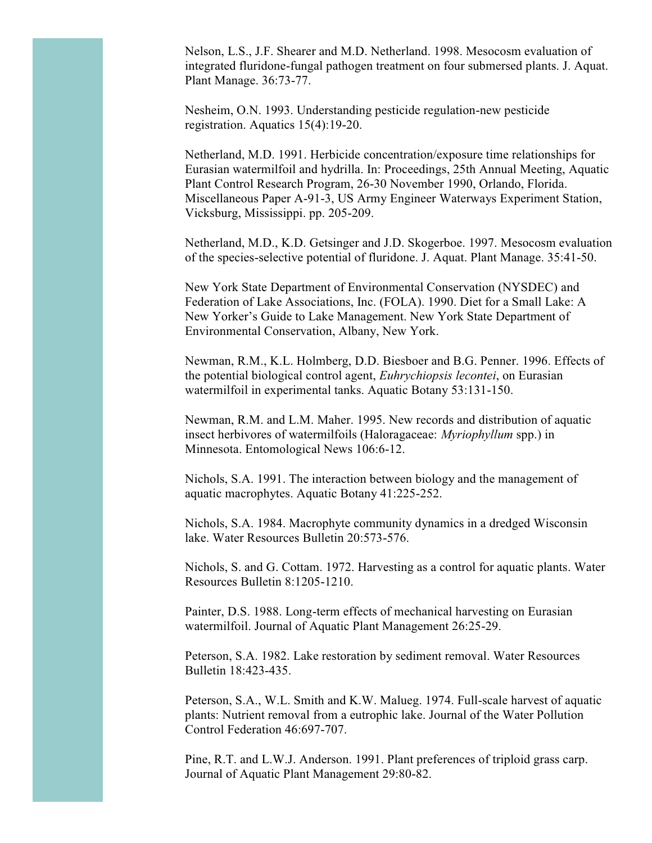Nelson, L.S., J.F. Shearer and M.D. Netherland. 1998. Mesocosm evaluation of integrated fluridone-fungal pathogen treatment on four submersed plants. J. Aquat. Plant Manage. 36:73-77.

Nesheim, O.N. 1993. Understanding pesticide regulation-new pesticide registration. Aquatics 15(4):19-20.

Netherland, M.D. 1991. Herbicide concentration/exposure time relationships for Eurasian watermilfoil and hydrilla. In: Proceedings, 25th Annual Meeting, Aquatic Plant Control Research Program, 26-30 November 1990, Orlando, Florida. Miscellaneous Paper A-91-3, US Army Engineer Waterways Experiment Station, Vicksburg, Mississippi. pp. 205-209.

Netherland, M.D., K.D. Getsinger and J.D. Skogerboe. 1997. Mesocosm evaluation of the species-selective potential of fluridone. J. Aquat. Plant Manage. 35:41-50.

New York State Department of Environmental Conservation (NYSDEC) and Federation of Lake Associations, Inc. (FOLA). 1990. Diet for a Small Lake: A New Yorker's Guide to Lake Management. New York State Department of Environmental Conservation, Albany, New York.

Newman, R.M., K.L. Holmberg, D.D. Biesboer and B.G. Penner. 1996. Effects of the potential biological control agent, *Euhrychiopsis lecontei*, on Eurasian watermilfoil in experimental tanks. Aquatic Botany 53:131-150.

Newman, R.M. and L.M. Maher. 1995. New records and distribution of aquatic insect herbivores of watermilfoils (Haloragaceae: *Myriophyllum* spp.) in Minnesota. Entomological News 106:6-12.

Nichols, S.A. 1991. The interaction between biology and the management of aquatic macrophytes. Aquatic Botany 41:225-252.

Nichols, S.A. 1984. Macrophyte community dynamics in a dredged Wisconsin lake. Water Resources Bulletin 20:573-576.

Nichols, S. and G. Cottam. 1972. Harvesting as a control for aquatic plants. Water Resources Bulletin 8:1205-1210.

Painter, D.S. 1988. Long-term effects of mechanical harvesting on Eurasian watermilfoil. Journal of Aquatic Plant Management 26:25-29.

Peterson, S.A. 1982. Lake restoration by sediment removal. Water Resources Bulletin 18:423-435.

Peterson, S.A., W.L. Smith and K.W. Malueg. 1974. Full-scale harvest of aquatic plants: Nutrient removal from a eutrophic lake. Journal of the Water Pollution Control Federation 46:697-707.

Pine, R.T. and L.W.J. Anderson. 1991. Plant preferences of triploid grass carp. Journal of Aquatic Plant Management 29:80-82.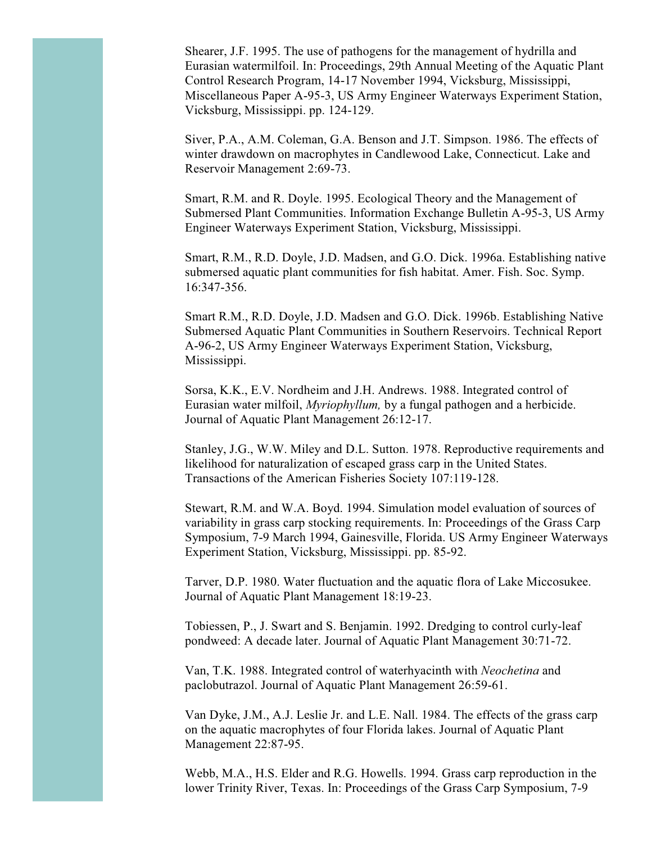Shearer, J.F. 1995. The use of pathogens for the management of hydrilla and Eurasian watermilfoil. In: Proceedings, 29th Annual Meeting of the Aquatic Plant Control Research Program, 14-17 November 1994, Vicksburg, Mississippi, Miscellaneous Paper A-95-3, US Army Engineer Waterways Experiment Station, Vicksburg, Mississippi. pp. 124-129.

Siver, P.A., A.M. Coleman, G.A. Benson and J.T. Simpson. 1986. The effects of winter drawdown on macrophytes in Candlewood Lake, Connecticut. Lake and Reservoir Management 2:69-73.

Smart, R.M. and R. Doyle. 1995. Ecological Theory and the Management of Submersed Plant Communities. Information Exchange Bulletin A-95-3, US Army Engineer Waterways Experiment Station, Vicksburg, Mississippi.

Smart, R.M., R.D. Doyle, J.D. Madsen, and G.O. Dick. 1996a. Establishing native submersed aquatic plant communities for fish habitat. Amer. Fish. Soc. Symp. 16:347-356.

Smart R.M., R.D. Doyle, J.D. Madsen and G.O. Dick. 1996b. Establishing Native Submersed Aquatic Plant Communities in Southern Reservoirs. Technical Report A-96-2, US Army Engineer Waterways Experiment Station, Vicksburg, Mississippi.

Sorsa, K.K., E.V. Nordheim and J.H. Andrews. 1988. Integrated control of Eurasian water milfoil, *Myriophyllum,* by a fungal pathogen and a herbicide. Journal of Aquatic Plant Management 26:12-17.

Stanley, J.G., W.W. Miley and D.L. Sutton. 1978. Reproductive requirements and likelihood for naturalization of escaped grass carp in the United States. Transactions of the American Fisheries Society 107:119-128.

Stewart, R.M. and W.A. Boyd. 1994. Simulation model evaluation of sources of variability in grass carp stocking requirements. In: Proceedings of the Grass Carp Symposium, 7-9 March 1994, Gainesville, Florida. US Army Engineer Waterways Experiment Station, Vicksburg, Mississippi. pp. 85-92.

Tarver, D.P. 1980. Water fluctuation and the aquatic flora of Lake Miccosukee. Journal of Aquatic Plant Management 18:19-23.

Tobiessen, P., J. Swart and S. Benjamin. 1992. Dredging to control curly-leaf pondweed: A decade later. Journal of Aquatic Plant Management 30:71-72.

Van, T.K. 1988. Integrated control of waterhyacinth with *Neochetina* and paclobutrazol. Journal of Aquatic Plant Management 26:59-61.

Van Dyke, J.M., A.J. Leslie Jr. and L.E. Nall. 1984. The effects of the grass carp on the aquatic macrophytes of four Florida lakes. Journal of Aquatic Plant Management 22:87-95.

Webb, M.A., H.S. Elder and R.G. Howells. 1994. Grass carp reproduction in the lower Trinity River, Texas. In: Proceedings of the Grass Carp Symposium, 7-9